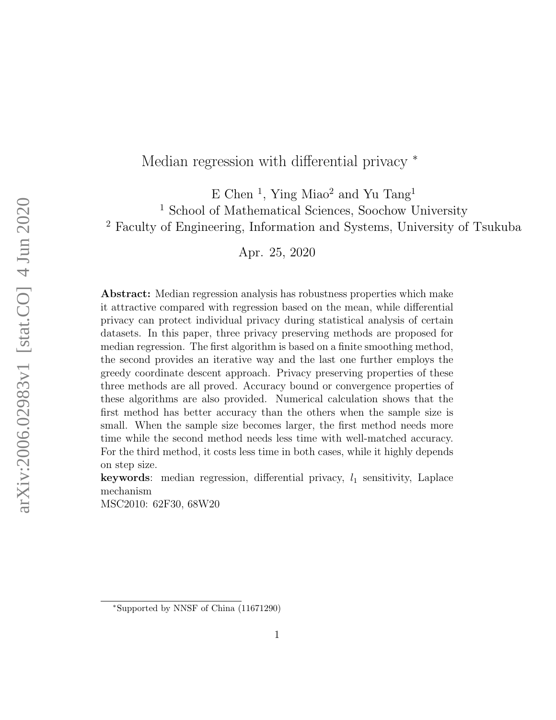# Median regression with differential privacy  $*$

E Chen<sup>1</sup>, Ying Miao<sup>2</sup> and Yu Tang<sup>1</sup> <sup>1</sup> School of Mathematical Sciences, Soochow University <sup>2</sup> Faculty of Engineering, Information and Systems, University of Tsukuba

Apr. 25, 2020

Abstract: Median regression analysis has robustness properties which make it attractive compared with regression based on the mean, while differential privacy can protect individual privacy during statistical analysis of certain datasets. In this paper, three privacy preserving methods are proposed for median regression. The first algorithm is based on a finite smoothing method, the second provides an iterative way and the last one further employs the greedy coordinate descent approach. Privacy preserving properties of these three methods are all proved. Accuracy bound or convergence properties of these algorithms are also provided. Numerical calculation shows that the first method has better accuracy than the others when the sample size is small. When the sample size becomes larger, the first method needs more time while the second method needs less time with well-matched accuracy. For the third method, it costs less time in both cases, while it highly depends on step size.

**keywords:** median regression, differential privacy,  $l_1$  sensitivity, Laplace mechanism

MSC2010: 62F30, 68W20

<sup>∗</sup>Supported by NNSF of China (11671290)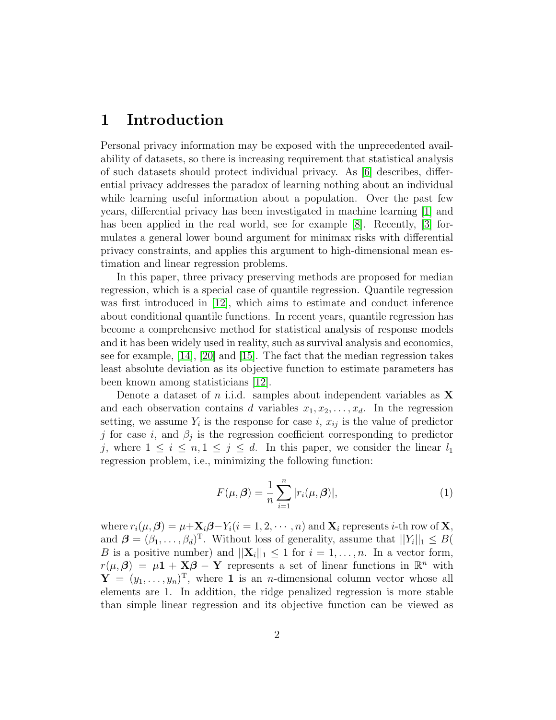# 1 Introduction

Personal privacy information may be exposed with the unprecedented availability of datasets, so there is increasing requirement that statistical analysis of such datasets should protect individual privacy. As [\[6\]](#page-14-0) describes, differential privacy addresses the paradox of learning nothing about an individual while learning useful information about a population. Over the past few years, differential privacy has been investigated in machine learning [\[1\]](#page-14-1) and has been applied in the real world, see for example [\[8\]](#page-15-0). Recently, [\[3\]](#page-14-2) formulates a general lower bound argument for minimax risks with differential privacy constraints, and applies this argument to high-dimensional mean estimation and linear regression problems.

In this paper, three privacy preserving methods are proposed for median regression, which is a special case of quantile regression. Quantile regression was first introduced in [\[12\]](#page-15-1), which aims to estimate and conduct inference about conditional quantile functions. In recent years, quantile regression has become a comprehensive method for statistical analysis of response models and it has been widely used in reality, such as survival analysis and economics, see for example, [\[14\]](#page-15-2), [\[20\]](#page-16-0) and [\[15\]](#page-15-3). The fact that the median regression takes least absolute deviation as its objective function to estimate parameters has been known among statisticians [\[12\]](#page-15-1).

Denote a dataset of *n* i.i.d. samples about independent variables as  $X$ and each observation contains d variables  $x_1, x_2, \ldots, x_d$ . In the regression setting, we assume  $Y_i$  is the response for case i,  $x_{ij}$  is the value of predictor j for case i, and  $\beta_j$  is the regression coefficient corresponding to predictor j, where  $1 \leq i \leq n, 1 \leq j \leq d$ . In this paper, we consider the linear  $l_1$ regression problem, i.e., minimizing the following function:

$$
F(\mu, \beta) = \frac{1}{n} \sum_{i=1}^{n} |r_i(\mu, \beta)|,
$$
 (1)

where  $r_i(\mu, \beta) = \mu + \mathbf{X}_i \beta - Y_i (i = 1, 2, \cdots, n)$  and  $\mathbf{X}_i$  represents *i*-th row of **X**, and  $\boldsymbol{\beta} = (\beta_1, \dots, \beta_d)^T$ . Without loss of generality, assume that  $||Y_i||_1 \leq B$ B is a positive number) and  $||\mathbf{X}_i||_1 \leq 1$  for  $i = 1, ..., n$ . In a vector form,  $r(\mu, \beta) = \mu \mathbf{1} + \mathbf{X} \beta - \mathbf{Y}$  represents a set of linear functions in  $\mathbb{R}^n$  with  $\mathbf{Y} = (y_1, \ldots, y_n)^\mathrm{T}$ , where 1 is an *n*-dimensional column vector whose all elements are 1. In addition, the ridge penalized regression is more stable than simple linear regression and its objective function can be viewed as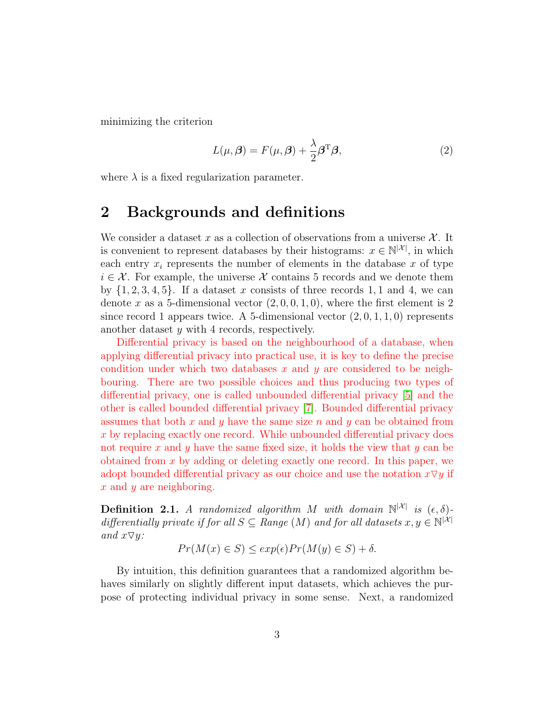minimizing the criterion

<span id="page-2-0"></span>
$$
L(\mu, \beta) = F(\mu, \beta) + \frac{\lambda}{2} \beta^{\mathrm{T}} \beta,
$$
\n(2)

where  $\lambda$  is a fixed regularization parameter.

# 2 Backgrounds and definitions

We consider a dataset x as a collection of observations from a universe  $\mathcal{X}$ . It is convenient to represent databases by their histograms:  $x \in \mathbb{N}^{|\mathcal{X}|}$ , in which each entry  $x_i$  represents the number of elements in the database x of type  $i \in \mathcal{X}$ . For example, the universe X contains 5 records and we denote them by  $\{1, 2, 3, 4, 5\}$ . If a dataset x consists of three records 1, 1 and 4, we can denote x as a 5-dimensional vector  $(2, 0, 0, 1, 0)$ , where the first element is 2 since record 1 appears twice. A 5-dimensional vector  $(2,0,1,1,0)$  represents another dataset y with 4 records, respectively.

Differential privacy is based on the neighbourhood of a database, when applying differential privacy into practical use, it is key to define the precise condition under which two databases x and y are considered to be neighbouring. There are two possible choices and thus producing two types of differential privacy, one is called unbounded differential privacy [\[5\]](#page-14-3) and the other is called bounded differential privacy [\[7\]](#page-14-4). Bounded differential privacy assumes that both x and y have the same size n and y can be obtained from x by replacing exactly one record. While unbounded differential privacy does not require x and y have the same fixed size, it holds the view that y can be obtained from x by adding or deleting exactly one record. In this paper, we adopt bounded differential privacy as our choice and use the notation  $x \nabla y$  if x and y are neighboring.

**Definition 2.1.** A randomized algorithm M with domain  $\mathbb{N}^{|\mathcal{X}|}$  is  $(\epsilon, \delta)$ differentially private if for all  $S \subseteq Range(M)$  and for all datasets  $x, y \in \mathbb{N}^{|\mathcal{X}|}$ and  $x \nabla y$ :

$$
Pr(M(x) \in S) \leq exp(\epsilon) Pr(M(y) \in S) + \delta.
$$

By intuition, this definition guarantees that a randomized algorithm behaves similarly on slightly different input datasets, which achieves the purpose of protecting individual privacy in some sense. Next, a randomized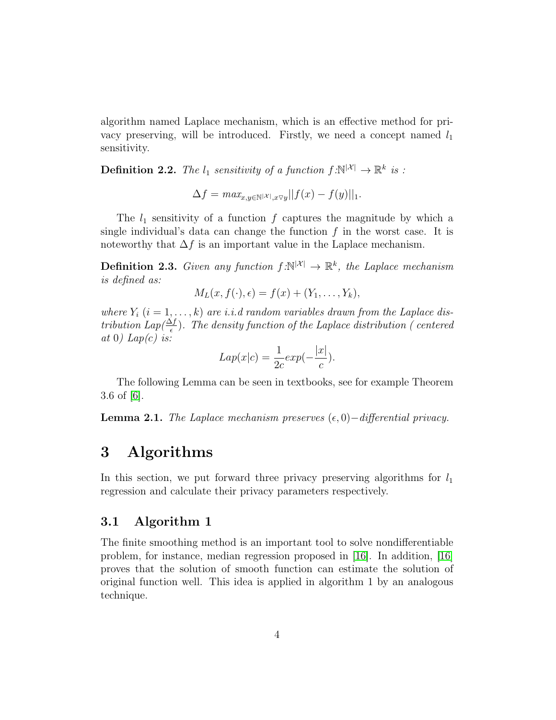algorithm named Laplace mechanism, which is an effective method for privacy preserving, will be introduced. Firstly, we need a concept named  $l_1$ sensitivity.

**Definition 2.2.** The  $l_1$  sensitivity of a function  $f:\mathbb{N}^{|\mathcal{X}|} \to \mathbb{R}^k$  is :

$$
\Delta f = \max_{x, y \in \mathbb{N}^{|\mathcal{X}|}, x \triangledown y} ||f(x) - f(y)||_1.
$$

The  $l_1$  sensitivity of a function f captures the magnitude by which a single individual's data can change the function  $f$  in the worst case. It is noteworthy that  $\Delta f$  is an important value in the Laplace mechanism.

**Definition 2.3.** Given any function  $f:\mathbb{N}^{|\mathcal{X}|} \to \mathbb{R}^k$ , the Laplace mechanism is defined as:

$$
M_L(x, f(\cdot), \epsilon) = f(x) + (Y_1, \ldots, Y_k),
$$

where  $Y_i$   $(i = 1, ..., k)$  are i.i.d random variables drawn from the Laplace distribution Lap $(\frac{\Delta f}{\epsilon})$ . The density function of the Laplace distribution (centered at 0) Lap(c) is:

$$
Lap(x|c) = \frac{1}{2c}exp(-\frac{|x|}{c}).
$$

The following Lemma can be seen in textbooks, see for example Theorem 3.6 of [\[6\]](#page-14-0).

<span id="page-3-0"></span>**Lemma 2.1.** The Laplace mechanism preserves  $(\epsilon, 0)$ −differential privacy.

# 3 Algorithms

In this section, we put forward three privacy preserving algorithms for  $l_1$ regression and calculate their privacy parameters respectively.

### 3.1 Algorithm 1

The finite smoothing method is an important tool to solve nondifferentiable problem, for instance, median regression proposed in [\[16\]](#page-15-4). In addition, [\[16\]](#page-15-4) proves that the solution of smooth function can estimate the solution of original function well. This idea is applied in algorithm 1 by an analogous technique.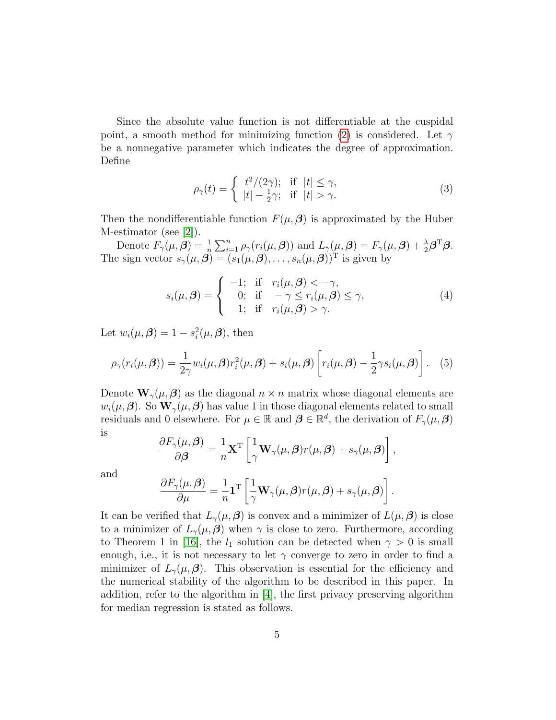Since the absolute value function is not differentiable at the cuspidal point, a smooth method for minimizing function [\(2\)](#page-2-0) is considered. Let  $\gamma$ be a nonnegative parameter which indicates the degree of approximation. Define

$$
\rho_{\gamma}(t) = \begin{cases} t^2/(2\gamma); & \text{if } |t| \le \gamma, \\ |t| - \frac{1}{2}\gamma; & \text{if } |t| > \gamma. \end{cases}
$$
\n(3)

Then the nondifferentiable function  $F(\mu, \beta)$  is approximated by the Huber M-estimator (see [\[2\]](#page-14-5)).

Denote  $F_{\gamma}(\mu,\boldsymbol{\beta}) = \frac{1}{n} \sum_{i=1}^{n} \rho_{\gamma}(r_i(\mu,\boldsymbol{\beta}))$  and  $L_{\gamma}(\mu,\boldsymbol{\beta}) = F_{\gamma}(\mu,\boldsymbol{\beta}) + \frac{\lambda}{2} \boldsymbol{\beta}^{\mathrm{T}} \boldsymbol{\beta}.$ The sign vector  $s_{\gamma}(\mu, \beta) = (s_1(\mu, \beta), \ldots, s_n(\mu, \beta))^T$  is given by

$$
s_i(\mu, \beta) = \begin{cases} -1; & \text{if } r_i(\mu, \beta) < -\gamma, \\ 0; & \text{if } -\gamma \le r_i(\mu, \beta) \le \gamma, \\ 1; & \text{if } r_i(\mu, \beta) > \gamma. \end{cases}
$$
(4)

Let  $w_i(\mu, \beta) = 1 - s_i^2(\mu, \beta)$ , then

$$
\rho_{\gamma}(r_i(\mu,\boldsymbol{\beta})) = \frac{1}{2\gamma} w_i(\mu,\boldsymbol{\beta}) r_i^2(\mu,\boldsymbol{\beta}) + s_i(\mu,\boldsymbol{\beta}) \left[ r_i(\mu,\boldsymbol{\beta}) - \frac{1}{2} \gamma s_i(\mu,\boldsymbol{\beta}) \right]. \tag{5}
$$

Denote  $\mathbf{W}_{\gamma}(\mu,\boldsymbol{\beta})$  as the diagonal  $n \times n$  matrix whose diagonal elements are  $w_i(\mu, \beta)$ . So  $\mathbf{W}_{\gamma}(\mu, \beta)$  has value 1 in those diagonal elements related to small residuals and 0 elsewhere. For  $\mu \in \mathbb{R}$  and  $\boldsymbol{\beta} \in \mathbb{R}^d$ , the derivation of  $F_{\gamma}(\mu, \boldsymbol{\beta})$ is

$$
\frac{\partial F_{\gamma}(\mu,\beta)}{\partial \beta} = \frac{1}{n} \mathbf{X}^{\mathrm{T}} \left[ \frac{1}{\gamma} \mathbf{W}_{\gamma}(\mu,\beta) r(\mu,\beta) + s_{\gamma}(\mu,\beta) \right],
$$

and

$$
\frac{\partial F_{\gamma}(\mu,\boldsymbol{\beta})}{\partial \mu} = -\frac{1}{n} \mathbf{1}^{\mathrm{T}} \left[ \frac{1}{\gamma} \mathbf{W}_{\gamma}(\mu,\boldsymbol{\beta}) r(\mu,\boldsymbol{\beta}) + s_{\gamma}(\mu,\boldsymbol{\beta}) \right].
$$

It can be verified that  $L_{\gamma}(\mu, \beta)$  is convex and a minimizer of  $L(\mu, \beta)$  is close to a minimizer of  $L_{\gamma}(\mu, \beta)$  when  $\gamma$  is close to zero. Furthermore, according to Theorem 1 in [\[16\]](#page-15-4), the  $l_1$  solution can be detected when  $\gamma > 0$  is small enough, i.e., it is not necessary to let  $\gamma$  converge to zero in order to find a minimizer of  $L_{\gamma}(\mu,\beta)$ . This observation is essential for the efficiency and the numerical stability of the algorithm to be described in this paper. In addition, refer to the algorithm in [\[4\]](#page-14-6), the first privacy preserving algorithm for median regression is stated as follows.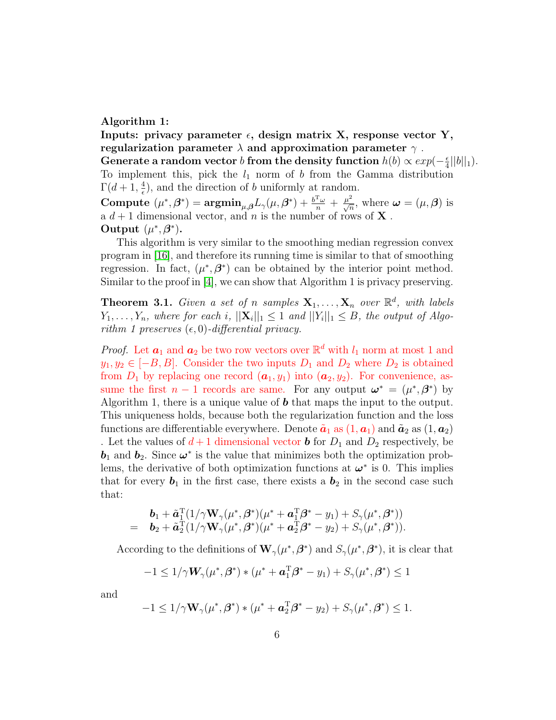#### Algorithm 1:

Inputs: privacy parameter  $\epsilon$ , design matrix X, response vector Y, regularization parameter  $\lambda$  and approximation parameter  $\gamma$ . Generate a random vector b from the density function  $h(b) \propto exp(-\frac{\epsilon}{4})$  $\frac{\epsilon}{4}||b||_1$ ). To implement this, pick the  $l_1$  norm of b from the Gamma distribution  $\Gamma(d+1,\frac{4}{5})$ , and the direction of b uniformly at random.  $\epsilon$ Compute  $(\mu^*, \beta^*) = \operatorname{argmin}_{\mu, \beta} L_{\gamma}(\mu, \beta^*) + \frac{b^{\mathrm{T}} \omega}{n} + \frac{\mu^2}{\sqrt{n}}$ , where  $\omega = (\mu, \beta)$  is a  $d+1$  dimensional vector, and n is the number of rows of **X**. Output  $(\mu^*, \beta^*)$ .

This algorithm is very similar to the smoothing median regression convex program in [\[16\]](#page-15-4), and therefore its running time is similar to that of smoothing regression. In fact,  $(\mu^*, \beta^*)$  can be obtained by the interior point method. Similar to the proof in [\[4\]](#page-14-6), we can show that Algorithm 1 is privacy preserving.

**Theorem 3.1.** Given a set of n samples  $X_1, \ldots, X_n$  over  $\mathbb{R}^d$ , with labels  $Y_1, \ldots, Y_n$ , where for each i,  $||\mathbf{X}_i||_1 \leq 1$  and  $||Y_i||_1 \leq B$ , the output of Algorithm 1 preserves  $(\epsilon, 0)$ -differential privacy.

*Proof.* Let  $a_1$  and  $a_2$  be two row vectors over  $\mathbb{R}^d$  with  $l_1$  norm at most 1 and  $y_1, y_2 \in [-B, B]$ . Consider the two inputs  $D_1$  and  $D_2$  where  $D_2$  is obtained from  $D_1$  by replacing one record  $(a_1, y_1)$  into  $(a_2, y_2)$ . For convenience, assume the first  $n-1$  records are same. For any output  $\boldsymbol{\omega}^* = (\mu^*, \boldsymbol{\beta}^*)$  by Algorithm 1, there is a unique value of  $\boldsymbol{b}$  that maps the input to the output. This uniqueness holds, because both the regularization function and the loss functions are differentiable everywhere. Denote  $\tilde{a}_1$  as  $(1, a_1)$  and  $\tilde{a}_2$  as  $(1, a_2)$ . Let the values of  $d+1$  dimensional vector **b** for  $D_1$  and  $D_2$  respectively, be  **and**  $**b**<sub>2</sub>$ **. Since**  $\boldsymbol{\omega}^*$  **is the value that minimizes both the optimization prob**lems, the derivative of both optimization functions at  $\boldsymbol{\omega}^*$  is 0. This implies that for every  $\mathbf{b}_1$  in the first case, there exists a  $\mathbf{b}_2$  in the second case such that:

$$
\mathbf{b}_1 + \tilde{\mathbf{a}}_1^{\mathrm{T}}(1/\gamma \mathbf{W}_{\gamma}(\mu^*, \beta^*)(\mu^* + \mathbf{a}_1^{\mathrm{T}}\beta^* - y_1) + S_{\gamma}(\mu^*, \beta^*))
$$
  
= 
$$
\mathbf{b}_2 + \tilde{\mathbf{a}}_2^{\mathrm{T}}(1/\gamma \mathbf{W}_{\gamma}(\mu^*, \beta^*)(\mu^* + \mathbf{a}_2^{\mathrm{T}}\beta^* - y_2) + S_{\gamma}(\mu^*, \beta^*)).
$$

According to the definitions of  $\mathbf{W}_{\gamma}(\mu^*, \beta^*)$  and  $S_{\gamma}(\mu^*, \beta^*)$ , it is clear that

$$
-1 \leq 1/\gamma \mathbf{W}_{\gamma}(\mu^*, \beta^*) * (\mu^* + \mathbf{a}_1^{\mathrm{T}}\beta^* - y_1) + S_{\gamma}(\mu^*, \beta^*) \leq 1
$$

and

$$
-1 \leq 1/\gamma \mathbf{W}_{\gamma}(\mu^*, \beta^*) * (\mu^* + \mathbf{a}_2^{\mathrm{T}} \beta^* - y_2) + S_{\gamma}(\mu^*, \beta^*) \leq 1.
$$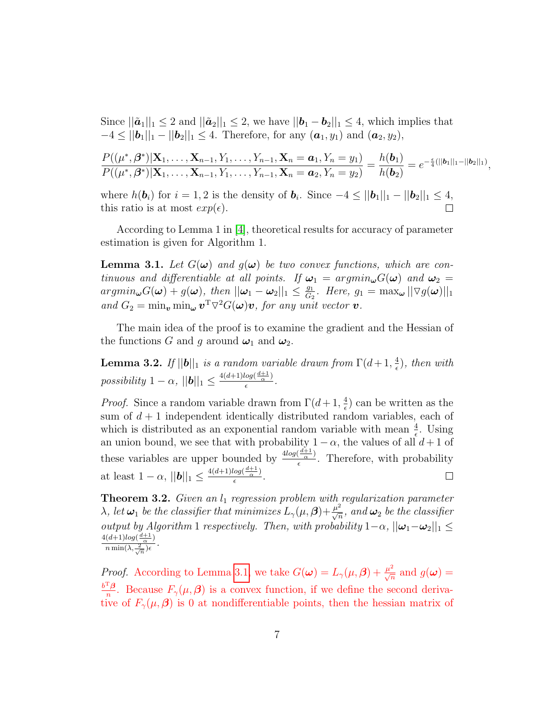Since  $||\tilde{a}_1||_1 \leq 2$  and  $||\tilde{a}_2||_1 \leq 2$ , we have  $||\boldsymbol{b}_1 - \boldsymbol{b}_2||_1 \leq 4$ , which implies that  $-4 \le ||\bm{b}_1||_1 - ||\bm{b}_2||_1 \le 4$ . Therefore, for any  $(\bm{a}_1, y_1)$  and  $(\bm{a}_2, y_2)$ ,

$$
\frac{P((\mu^*,\beta^*)|\mathbf{X}_1,\ldots,\mathbf{X}_{n-1},Y_1,\ldots,Y_{n-1},\mathbf{X}_n=\boldsymbol{a}_1,Y_n=y_1)}{P((\mu^*,\beta^*)|\mathbf{X}_1,\ldots,\mathbf{X}_{n-1},Y_1,\ldots,Y_{n-1},\mathbf{X}_n=\boldsymbol{a}_2,Y_n=y_2)}=\frac{h(\boldsymbol{b}_1)}{h(\boldsymbol{b}_2)}=e^{-\frac{\epsilon}{4}(||\boldsymbol{b}_1||_1-||\boldsymbol{b}_2||_1)},
$$

where  $h(\boldsymbol{b}_i)$  for  $i = 1, 2$  is the density of  $\boldsymbol{b}_i$ . Since  $-4 \le ||\boldsymbol{b}_1||_1 - ||\boldsymbol{b}_2||_1 \le 4$ , this ratio is at most  $exp(\epsilon)$ .

According to Lemma 1 in [\[4\]](#page-14-6), theoretical results for accuracy of parameter estimation is given for Algorithm 1.

<span id="page-6-0"></span>**Lemma 3.1.** Let  $G(\omega)$  and  $g(\omega)$  be two convex functions, which are continuous and differentiable at all points. If  $\omega_1 = argmin_{\omega} G(\omega)$  and  $\omega_2 =$  $argmin_{\boldsymbol{\omega}} G(\boldsymbol{\omega}) + g(\boldsymbol{\omega}), \text{ then } ||\boldsymbol{\omega}_1 - \boldsymbol{\omega}_2||_1 \leq \frac{g_1}{G}$  $rac{g_1}{G_2}$ . Here,  $g_1 = \max_{\boldsymbol{\omega}} || \nabla g(\boldsymbol{\omega}) ||_1$ and  $G_2 = \min_{\mathbf{v}} \min_{\mathbf{\omega}} \mathbf{v}^T \nabla^2 G(\mathbf{\omega}) \mathbf{v}$ , for any unit vector  $\mathbf{v}$ .

The main idea of the proof is to examine the gradient and the Hessian of the functions G and g around  $\omega_1$  and  $\omega_2$ .

<span id="page-6-1"></span>**Lemma 3.2.** If  $||\boldsymbol{b}||_1$  is a random variable drawn from  $\Gamma(d+1, \frac{4}{\epsilon})$  $(\frac{4}{\epsilon})$ , then with possibility  $1 - \alpha$ ,  $||\boldsymbol{b}||_1 \leq \frac{4(d+1)log(\frac{d+1}{\alpha})}{\epsilon}$  $\frac{\log(\frac{\alpha}{\alpha})}{\epsilon}$ .

*Proof.* Since a random variable drawn from  $\Gamma(d+1, \frac{4}{\epsilon})$  $\frac{4}{\epsilon}$ ) can be written as the sum of  $d+1$  independent identically distributed random variables, each of which is distributed as an exponential random variable with mean  $\frac{4}{\epsilon}$ . Using an union bound, we see that with probability  $1 - \alpha$ , the values of all  $d + 1$  of these variables are upper bounded by  $\frac{4log(\frac{d+1}{\alpha})}{6}$  $\frac{(\overline{a})}{\epsilon}$ . Therefore, with probability at least  $1 - \alpha$ ,  $||\boldsymbol{b}||_1 \leq \frac{4(d+1)log(\frac{d+1}{\alpha})}{\epsilon}$  $\Box$  $\frac{\log(\frac{\alpha}{\alpha})}{\epsilon}$ .

<span id="page-6-2"></span>**Theorem 3.2.** Given an  $l_1$  regression problem with regularization parameter  $\lambda$ , let  $\omega_1$  be the classifier that minimizes  $L_{\gamma}(\mu,\beta)+\frac{\mu^2}{\sqrt{n}}$ , and  $\omega_2$  be the classifier  $\overline{n}$ output by Algorithm 1 respectively. Then, with probability  $1-\alpha$ ,  $||\boldsymbol{\omega}_1-\boldsymbol{\omega}_2||_1 \le$  $\frac{4(d+1)log(\frac{d+1}{\alpha})}{h}$  $\frac{(a+1)log(\frac{\alpha}{\alpha})}{n \min(\lambda, \frac{2}{\sqrt{n}})\epsilon}$ .

*Proof.* According to Lemma [3.1,](#page-6-0) we take  $G(\boldsymbol{\omega}) = L_{\gamma}(\mu, \boldsymbol{\beta}) + \frac{\mu^2}{\sqrt{n}}$  and  $g(\boldsymbol{\omega}) =$  $b^{\rm T} \boldsymbol{\beta}$  $\frac{f_{\beta}}{n}$ . Because  $F_{\gamma}(\mu,\beta)$  is a convex function, if we define the second derivative of  $F_{\gamma}(\mu, \beta)$  is 0 at nondifferentiable points, then the hessian matrix of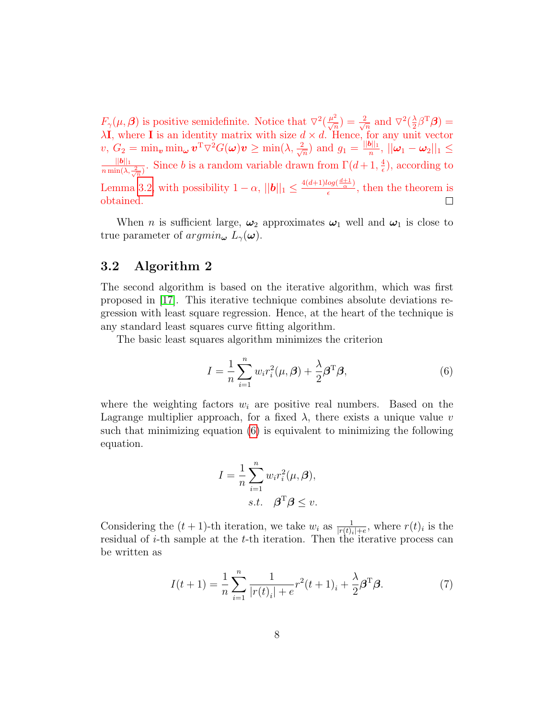$F_{\gamma}(\mu,\beta)$  is positive semidefinite. Notice that  $\nabla^2(\frac{\mu^2}{\sqrt{n}})=\frac{2}{\sqrt{n}}$  $\frac{2}{n}$  and  $\nabla^2(\frac{\lambda}{2})$  $\frac{\lambda}{2} \beta^{\mathrm{T}} \boldsymbol{\beta}) =$  $\lambda I$ , where I is an identity matrix with size  $d \times d$ . Hence, for any unit vector  $v,\,G_2=\min_{\bm{v}}\min_{\bm{\omega}}\bm{v}^{\text{T}}\triangledown^2 G(\bm{\omega})\bm{v}\geq\min(\lambda,\frac{2}{\sqrt{\kappa}})$  $\frac{2}{\overline{n}}$ ) and  $g_1 = \frac{||\boldsymbol{b}||_1}{n}$  $\frac{\|\bm{\theta}\|_1}{n},\,||\bm{\omega}_1-\bm{\omega}_2||_1\leq$  $||\boldsymbol{b}||_1$  $\frac{||\boldsymbol{b}||_1}{n \min(\lambda, \frac{2}{\sqrt{n}})}$ . Since b is a random variable drawn from  $\Gamma(d+1, \frac{4}{\epsilon})$  $(\frac{4}{\epsilon})$ , according to Lemma [3.2,](#page-6-1) with possibility  $1 - \alpha$ ,  $||\boldsymbol{b}||_1 \leq \frac{4(d+1)log(\frac{d+1}{\alpha})}{\epsilon}$  $\frac{\log(\frac{\alpha}{\alpha})}{\epsilon}$ , then the theorem is obtained.  $\Box$ 

When *n* is sufficient large,  $\omega_2$  approximates  $\omega_1$  well and  $\omega_1$  is close to true parameter of  $argmin_{\boldsymbol{\omega}} L_{\gamma}(\boldsymbol{\omega})$ .

## 3.2 Algorithm 2

The second algorithm is based on the iterative algorithm, which was first proposed in [\[17\]](#page-15-5). This iterative technique combines absolute deviations regression with least square regression. Hence, at the heart of the technique is any standard least squares curve fitting algorithm.

The basic least squares algorithm minimizes the criterion

<span id="page-7-0"></span>
$$
I = \frac{1}{n} \sum_{i=1}^{n} w_i r_i^2(\mu, \beta) + \frac{\lambda}{2} \beta^{\mathrm{T}} \beta,
$$
\n(6)

where the weighting factors  $w_i$  are positive real numbers. Based on the Lagrange multiplier approach, for a fixed  $\lambda$ , there exists a unique value v such that minimizing equation [\(6\)](#page-7-0) is equivalent to minimizing the following equation.

$$
I = \frac{1}{n} \sum_{i=1}^{n} w_i r_i^2(\mu, \beta),
$$
  
s.t.  $\beta^{\mathrm{T}} \beta \le v.$ 

Considering the  $(t + 1)$ -th iteration, we take  $w_i$  as  $\frac{1}{|r(t)_i|+e}$ , where  $r(t)_i$  is the residual of  $i$ -th sample at the  $t$ -th iteration. Then the iterative process can be written as

<span id="page-7-1"></span>
$$
I(t+1) = \frac{1}{n} \sum_{i=1}^{n} \frac{1}{|r(t)_i| + e} r^2 (t+1)_i + \frac{\lambda}{2} \beta^{\mathrm{T}} \beta.
$$
 (7)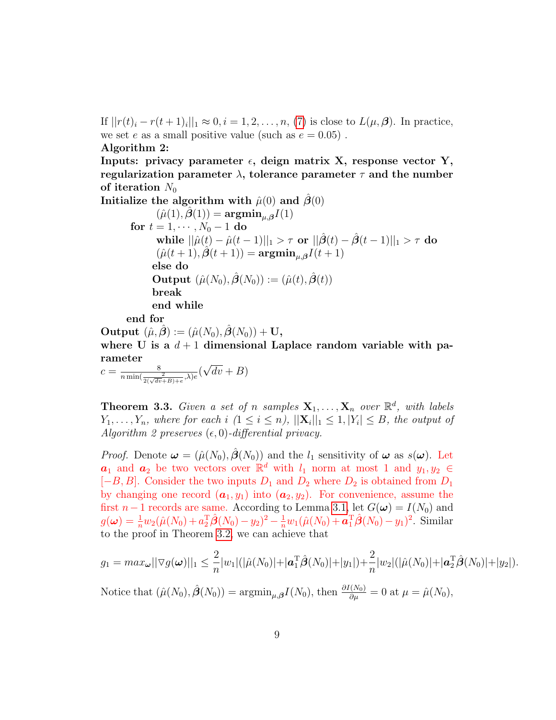If  $||r(t)_{i} - r(t+1)_{i}||_{1} \approx 0, i = 1, 2, ..., n$ , [\(7\)](#page-7-1) is close to  $L(\mu, \beta)$ . In practice, we set e as a small positive value (such as  $e = 0.05$ ).

Algorithm 2:

Inputs: privacy parameter  $\epsilon$ , deign matrix X, response vector Y, regularization parameter  $\lambda$ , tolerance parameter  $\tau$  and the number of iteration  $N_0$ 

Initialize the algorithm with  $\hat{\mu}(0)$  and  $\hat{\beta}(0)$  $(\hat{\mu}(1), \hat{\boldsymbol{\beta}}(1)) = \mathop{\mathrm{argmin}}_{\mu, \boldsymbol{\beta}} I(1)$ for  $t = 1, \dots, N_0 - 1$  do while  $||\hat{\mu}(t) - \hat{\mu}(t-1)||_1 > \tau$  or  $||\hat{\beta}(t) - \hat{\beta}(t-1)||_1 > \tau$  do  $(\hat{\mu}(t+1), \hat{\beta}(t+1)) = \mathbf{argmin}_{\mu, \boldsymbol{\beta}} I(t+1)$ else do **Output**  $(\hat{\mu}(N_0), \hat{\boldsymbol{\beta}}(N_0)) := (\hat{\mu}(t), \hat{\boldsymbol{\beta}}(t))$ break end while

end for

Output  $(\hat{\mu}, \beta) := (\hat{\mu}(N_0), \beta(N_0)) + U$ , where U is a  $d+1$  dimensional Laplace random variable with parameter √

$$
c = \frac{8}{n \min(\frac{2}{2(\sqrt{dv} + B) + e}, \lambda)e} (\sqrt{dv} + B)
$$

**Theorem 3.3.** Given a set of n samples  $X_1, \ldots, X_n$  over  $\mathbb{R}^d$ , with labels  $Y_1, \ldots, Y_n$ , where for each i  $(1 \leq i \leq n)$ ,  $||\mathbf{X}_i||_1 \leq 1, |Y_i| \leq B$ , the output of Algorithm 2 preserves  $(\epsilon, 0)$ -differential privacy.

*Proof.* Denote  $\boldsymbol{\omega} = (\hat{\mu}(N_0), \hat{\boldsymbol{\beta}}(N_0))$  and the  $l_1$  sensitivity of  $\boldsymbol{\omega}$  as  $s(\boldsymbol{\omega})$ . Let  $a_1$  and  $a_2$  be two vectors over  $\mathbb{R}^d$  with  $l_1$  norm at most 1 and  $y_1, y_2 \in$  $[-B, B]$ . Consider the two inputs  $D_1$  and  $D_2$  where  $D_2$  is obtained from  $D_1$ by changing one record  $(a_1, y_1)$  into  $(a_2, y_2)$ . For convenience, assume the first  $n-1$  records are same. According to Lemma [3.1,](#page-6-0) let  $G(\boldsymbol{\omega}) = I(N_0)$  and  $g(\boldsymbol{\omega}) = \frac{1}{n} w_2 (\hat{\mu}(N_0) + a_2^{\mathrm{T}} \hat{\boldsymbol{\beta}}(N_0) - y_2)^2 - \frac{1}{n} w_1 (\hat{\mu}(N_0) + \boldsymbol{a}_1^{\mathrm{T}} \hat{\boldsymbol{\beta}}(N_0) - y_1)^2$ . Similar to the proof in Theorem [3.2,](#page-6-2) we can achieve that

$$
g_1 = \max_{\omega} ||\nabla g(\omega)||_1 \leq \frac{2}{n} |w_1| (|\hat{\mu}(N_0)| + |\mathbf{a}_1^{\mathrm{T}} \hat{\beta}(N_0)| + |y_1|) + \frac{2}{n} |w_2| (|\hat{\mu}(N_0)| + |\mathbf{a}_2^{\mathrm{T}} \hat{\beta}(N_0)| + |y_2|).
$$
  
Notice that  $(\hat{\mu}(N_0), \hat{\beta}(N_0)) = \operatorname{argmin}_{\mu, \beta} I(N_0)$ , then  $\frac{\partial I(N_0)}{\partial \mu} = 0$  at  $\mu = \hat{\mu}(N_0)$ ,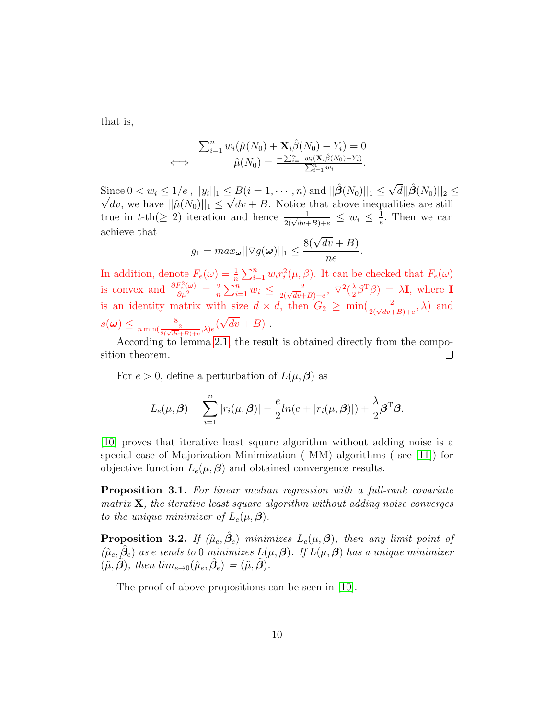that is,

$$
\sum_{i=1}^n w_i(\hat{\mu}(N_0) + \mathbf{X}_i \hat{\beta}(N_0) - Y_i) = 0
$$
  

$$
\iff \hat{\mu}(N_0) = \frac{\sum_{i=1}^n w_i(\mathbf{X}_i \hat{\beta}(N_0) - Y_i)}{\sum_{i=1}^n w_i}.
$$

Since  $0 < w_i \leq 1/e$ ,  $||y_i||_1 \leq B(i = 1, \dots, n)$  and  $||\hat{\boldsymbol{\beta}}(N_0)||_1 \leq \sqrt{d}||\hat{\boldsymbol{\beta}}(N_0)||_2 \leq$ dv, we have  $||\hat{\mu}(N_0)||_1 \leq \sqrt{dv} + B$ . Notice that above inequalities are still true in t-th( $\geq 2$ ) iteration and hence  $\frac{1}{2(\sqrt{dv}+B)+e} \leq w_i \leq \frac{1}{e}$  $\frac{1}{e}$ . Then we can achieve that

$$
g_1 = max_{\boldsymbol{\omega}} ||\nabla g(\boldsymbol{\omega})||_1 \leq \frac{8(\sqrt{dv} + B)}{ne}.
$$

In addition, denote  $F_e(\omega) = \frac{1}{n} \sum_{i=1}^n w_i r_i^2(\mu, \beta)$ . It can be checked that  $F_e(\omega)$ is convex and  $\frac{\partial F_e^2(\omega)}{\partial \mu^2} = \frac{2}{n}$  $\frac{2}{n} \sum_{i=1}^{n} w_i \leq \frac{2}{2(\sqrt{dv}+B)+e}, \ \nabla^2(\frac{\lambda}{2})$  $\frac{\lambda}{2}\beta^{\mathrm{T}}\beta) = \lambda \mathbf{I}$ , where  $\mathbf{I}$ is an identity matrix with size  $d \times d$ , then  $G_2 \ge \min(\frac{2}{2(\sqrt{dv}+B)+e},\lambda)$  and  $s(\boldsymbol{\omega}) \leq \frac{8}{n \min(\frac{2}{2(\sqrt{dv}+B)+e},\lambda)e}(\sqrt{dv}+B)$ . √

According to lemma [2.1,](#page-3-0) the result is obtained directly from the composition theorem.  $\Box$ 

For  $e > 0$ , define a perturbation of  $L(\mu, \beta)$  as

$$
L_e(\mu, \beta) = \sum_{i=1}^n |r_i(\mu, \beta)| - \frac{e}{2}ln(e + |r_i(\mu, \beta)|) + \frac{\lambda}{2}\beta^{\mathrm{T}}\beta.
$$

[\[10\]](#page-15-6) proves that iterative least square algorithm without adding noise is a special case of Majorization-Minimization ( MM) algorithms ( see [\[11\]](#page-15-7)) for objective function  $L_e(\mu, \beta)$  and obtained convergence results.

Proposition 3.1. For linear median regression with a full-rank covariate matrix  $X$ , the iterative least square algorithm without adding noise converges to the unique minimizer of  $L_e(\mu, \beta)$ .

**Proposition 3.2.** If  $(\hat{\mu}_e, \hat{\beta}_e)$  minimizes  $L_e(\mu, \beta)$ , then any limit point of  $(\hat{\mu}_e, \hat{\beta}_e)$  as e tends to 0 minimizes  $L(\mu, \beta)$ . If  $L(\mu, \beta)$  has a unique minimizer  $(\tilde{\mu}, \tilde{\boldsymbol{\beta}}),$  then  $\lim_{e\to 0} (\hat{\mu}_e, \hat{\boldsymbol{\beta}})_e = (\tilde{\mu}, \tilde{\boldsymbol{\beta}}).$ 

The proof of above propositions can be seen in [\[10\]](#page-15-6).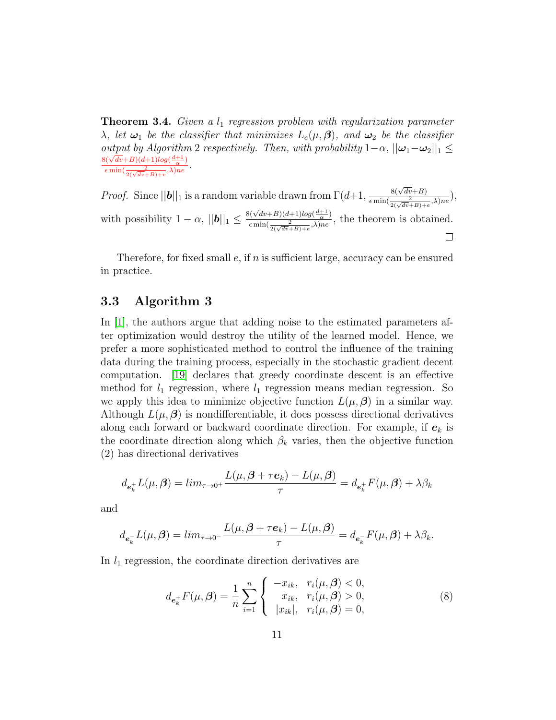**Theorem 3.4.** Given a  $l_1$  regression problem with regularization parameter  $\lambda$ , let  $\omega_1$  be the classifier that minimizes  $L_e(\mu, \beta)$ , and  $\omega_2$  be the classifier output by Algorithm 2 respectively. Then, with probability  $1-\alpha$ ,  $||\boldsymbol{\omega}_1-\boldsymbol{\omega}_2||_1 \le$  $\frac{8(\sqrt{dv}+B)(d+1)log(\frac{d+1}{\alpha})}{}$  $\frac{\epsilon \min(\frac{2}{2(\sqrt{dv}+B)+e},\lambda)ne}{\epsilon \min(\frac{2}{2(\sqrt{dv}+B)+e},\lambda)ne}.$ 

*Proof.* Since  $||\boldsymbol{b}||_1$  is a random variable drawn from  $\Gamma(d+1, \frac{8(\sqrt{dv}+B)}{c \min(\frac{2}{b})^2})$  $\frac{8(\sqrt{av}+B)}{\epsilon \min(\frac{2}{2(\sqrt{dv}+B)+e},\lambda)ne}),$  $8(\sqrt{dv}+B)(d+1)log(\frac{d+1}{\alpha})$ with possibility  $1 - \alpha$ ,  $||\boldsymbol{b}||_1 \leq$  $\frac{\sqrt{(Vuv+D)(u+1)}\log(\frac{\alpha}{\alpha})}{\epsilon \min(\frac{2}{2(\sqrt{dv}+B)+e}\lambda)ne}$ , the theorem is obtained.  $\Box$ 

Therefore, for fixed small  $e$ , if  $n$  is sufficient large, accuracy can be ensured in practice.

#### 3.3 Algorithm 3

In [\[1\]](#page-14-1), the authors argue that adding noise to the estimated parameters after optimization would destroy the utility of the learned model. Hence, we prefer a more sophisticated method to control the influence of the training data during the training process, especially in the stochastic gradient decent computation. [\[19\]](#page-15-8) declares that greedy coordinate descent is an effective method for  $l_1$  regression, where  $l_1$  regression means median regression. So we apply this idea to minimize objective function  $L(\mu, \beta)$  in a similar way. Although  $L(\mu, \beta)$  is nondifferentiable, it does possess directional derivatives along each forward or backward coordinate direction. For example, if  $e_k$  is the coordinate direction along which  $\beta_k$  varies, then the objective function (2) has directional derivatives

$$
d_{\mathbf{e}_k^+}L(\mu,\boldsymbol{\beta}) = \lim_{\tau \to 0^+} \frac{L(\mu,\boldsymbol{\beta} + \tau \mathbf{e}_k) - L(\mu,\boldsymbol{\beta})}{\tau} = d_{\mathbf{e}_k^+}F(\mu,\boldsymbol{\beta}) + \lambda \beta_k
$$

and

$$
d_{\boldsymbol{e}_k^-}L(\mu,\boldsymbol{\beta})=lim_{\tau\to 0^-}\frac{L(\mu,\boldsymbol{\beta}+\tau\boldsymbol{e}_k)-L(\mu,\boldsymbol{\beta})}{\tau}=d_{\boldsymbol{e}_k^-}F(\mu,\boldsymbol{\beta})+\lambda\beta_k.
$$

In  $l_1$  regression, the coordinate direction derivatives are

$$
d_{e_k^+}F(\mu,\beta) = \frac{1}{n} \sum_{i=1}^n \begin{cases} -x_{ik}, & r_i(\mu,\beta) < 0, \\ x_{ik}, & r_i(\mu,\beta) > 0, \\ |x_{ik}|, & r_i(\mu,\beta) = 0, \end{cases}
$$
 (8)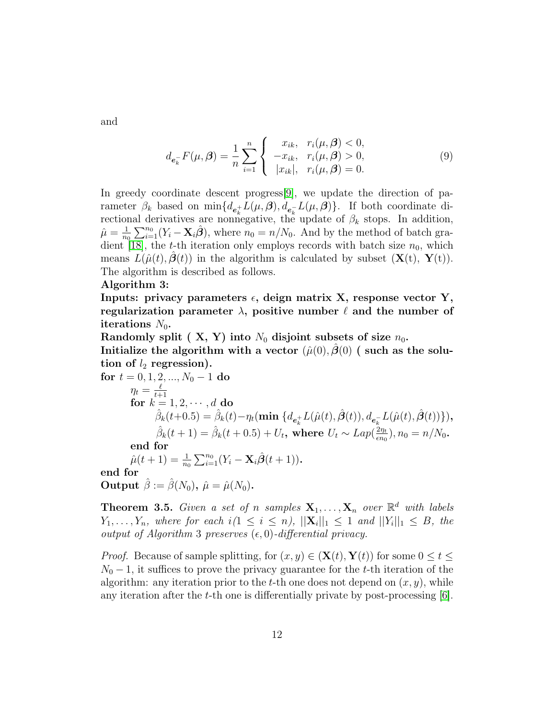and

$$
d_{e_k} F(\mu, \beta) = \frac{1}{n} \sum_{i=1}^n \begin{cases} x_{ik}, & r_i(\mu, \beta) < 0, \\ -x_{ik}, & r_i(\mu, \beta) > 0, \\ |x_{ik}|, & r_i(\mu, \beta) = 0. \end{cases}
$$
(9)

In greedy coordinate descent progress[\[9\]](#page-15-9), we update the direction of parameter  $\beta_k$  based on  $\min\{d_{e_k^+}L(\mu,\boldsymbol{\beta}),d_{e_k^-}L(\mu,\boldsymbol{\beta})\}\.$  If both coordinate directional derivatives are nonnegative, the update of  $\beta_k$  stops. In addition,  $\hat{\mu} = \frac{1}{n}$  $\frac{1}{n_0}\sum_{i=1}^{n_0}(Y_i - \mathbf{X}_i\hat{\boldsymbol{\beta}}),$  where  $n_0 = n/N_0$ . And by the method of batch gra-dient [\[18\]](#page-15-10), the t-th iteration only employs records with batch size  $n_0$ , which means  $L(\hat{\mu}(t), \beta(t))$  in the algorithm is calculated by subset  $(\mathbf{X}(t), \mathbf{Y}(t))$ . The algorithm is described as follows.

#### Algorithm 3:

Inputs: privacy parameters  $\epsilon$ , deign matrix X, response vector Y, regularization parameter  $\lambda$ , positive number  $\ell$  and the number of iterations  $N_0$ .

Randomly split ( X, Y) into  $N_0$  disjoint subsets of size  $n_0$ .

Initialize the algorithm with a vector  $(\hat{\mu}(0), \hat{\beta}(0))$  (such as the solution of  $l_2$  regression).

for 
$$
t = 0, 1, 2, ..., N_0 - 1
$$
 do  
\n
$$
\eta_t = \frac{\ell}{t+1}
$$
\nfor  $k = 1, 2, \dots, d$  do  
\n
$$
\hat{\beta}_k(t+0.5) = \hat{\beta}_k(t) - \eta_t(\min \{d_{e_k^+} L(\hat{\mu}(t), \hat{\beta}(t)), d_{e_k^-} L(\hat{\mu}(t), \hat{\beta}(t))\}),
$$
\n
$$
\hat{\beta}_k(t+1) = \hat{\beta}_k(t+0.5) + U_t, \text{ where } U_t \sim Lap(\frac{2\eta_t}{\epsilon n_0}), n_0 = n/N_0.
$$
\nend for  
\n
$$
\hat{\mu}(t+1) = \frac{1}{n_0} \sum_{i=1}^{n_0} (Y_i - \mathbf{X}_i \hat{\beta}(t+1)).
$$
\nend for  
\nOutput  $\hat{\beta} := \hat{\beta}(N_0), \hat{\mu} = \hat{\mu}(N_0).$ 

**Theorem 3.5.** Given a set of n samples  $X_1, \ldots, X_n$  over  $\mathbb{R}^d$  with labels  $Y_1, \ldots, Y_n$ , where for each  $i(1 \leq i \leq n)$ ,  $||\mathbf{X}_i||_1 \leq 1$  and  $||Y_i||_1 \leq B$ , the output of Algorithm 3 preserves  $(\epsilon, 0)$ -differential privacy.

*Proof.* Because of sample splitting, for  $(x, y) \in (\mathbf{X}(t), \mathbf{Y}(t))$  for some  $0 \le t \le$  $N_0 - 1$ , it suffices to prove the privacy guarantee for the t-th iteration of the algorithm: any iteration prior to the t-th one does not depend on  $(x, y)$ , while any iteration after the t-th one is differentially private by post-processing  $[6]$ .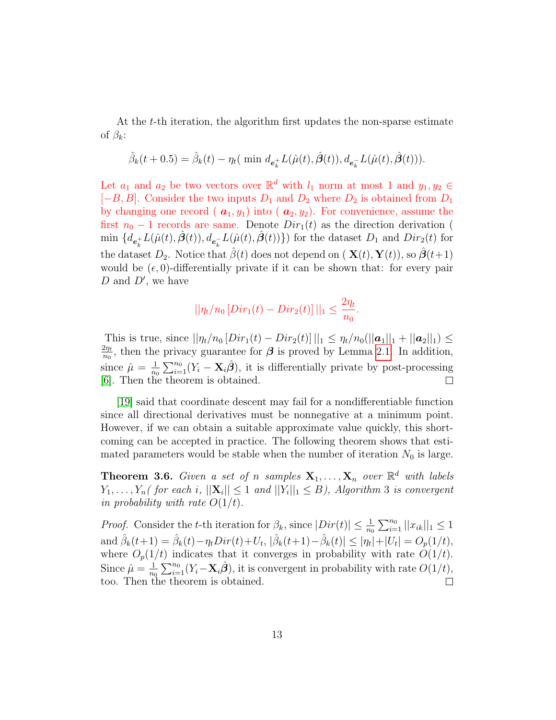At the t-th iteration, the algorithm first updates the non-sparse estimate of  $\beta_k$ :

$$
\hat{\beta}_k(t+0.5) = \hat{\beta}_k(t) - \eta_t(\text{ min } d_{e_k^+} L(\hat{\mu}(t), \hat{\beta}(t)), d_{e_k^-} L(\hat{\mu}(t), \hat{\beta}(t))).
$$

Let  $a_1$  and  $a_2$  be two vectors over  $\mathbb{R}^d$  with  $l_1$  norm at most 1 and  $y_1, y_2 \in$  $[-B, B]$ . Consider the two inputs  $D_1$  and  $D_2$  where  $D_2$  is obtained from  $D_1$ by changing one record ( $\mathbf{a}_1, y_1$ ) into ( $\mathbf{a}_2, y_2$ ). For convenience, assume the first  $n_0 - 1$  records are same. Denote  $Dir_1(t)$  as the direction derivation ( min  $\{d_{e_k^+}L(\hat{\mu}(t),\hat{\boldsymbol{\beta}}(t)), d_{e_k^-}L(\hat{\mu}(t),\hat{\boldsymbol{\beta}}(t))\}\)$  for the dataset  $D_1$  and  $Dir_2(t)$  for the dataset  $D_2$ . Notice that  $\hat{\beta}(t)$  does not depend on  $(\mathbf{X}(t), \mathbf{Y}(t))$ , so  $\hat{\boldsymbol{\beta}}(t+1)$ would be  $(\epsilon, 0)$ -differentially private if it can be shown that: for every pair  $D$  and  $D'$ , we have

$$
||\eta_t/n_0[Dir_1(t) - Dir_2(t)]||_1 \le \frac{2\eta_t}{n_0}.
$$

This is true, since  $||\eta_t/n_0[Dir_1(t) - Dir_2(t)]||_1 \leq \eta_t/n_0(||\mathbf{a}_1||_1 + ||\mathbf{a}_2||_1) \leq$  $2\eta_t$  $\frac{2\eta_t}{n_0}$ , then the privacy guarantee for  $\beta$  is proved by Lemma [2.1.](#page-3-0) In addition,  $\frac{1}{n_0} \sum_{i=1}^{n_0} (Y_i - \mathbf{X}_i \hat{\boldsymbol{\beta}}),$  it is differentially private by post-processing since  $\hat{\mu} = \frac{1}{n}$ [\[6\]](#page-14-0). Then the theorem is obtained.  $\Box$ 

[\[19\]](#page-15-8) said that coordinate descent may fail for a nondifferentiable function since all directional derivatives must be nonnegative at a minimum point. However, if we can obtain a suitable approximate value quickly, this shortcoming can be accepted in practice. The following theorem shows that estimated parameters would be stable when the number of iteration  $N_0$  is large.

**Theorem 3.6.** Given a set of n samples  $X_1, \ldots, X_n$  over  $\mathbb{R}^d$  with labels  $Y_1, \ldots, Y_n$  (for each i,  $||\mathbf{X}_i|| \leq 1$  and  $||Y_i||_1 \leq B$ ), Algorithm 3 is convergent in probability with rate  $O(1/t)$ .

*Proof.* Consider the t-th iteration for  $\beta_k$ , since  $|Dir(t)| \leq \frac{1}{n_0} \sum_{i=1}^{n_0} ||x_{ik}||_1 \leq 1$ and  $\hat{\beta}_k(t+1) = \hat{\beta}_k(t) - \eta_t Dir(t) + U_t, \, |\hat{\beta}_k(t+1) - \hat{\beta}_k(t)| \le |\eta_t| + |U_t| = O_p(1/t),$ where  $O_p(1/t)$  indicates that it converges in probability with rate  $O(1/t)$ .  $\frac{1}{n_0} \sum_{i=1}^{n_0} (Y_i - \mathbf{X}_i \hat{\boldsymbol{\beta}}),$  it is convergent in probability with rate  $O(1/t)$ , Since  $\hat{\mu} = \frac{1}{n}$ too. Then the theorem is obtained.  $\Box$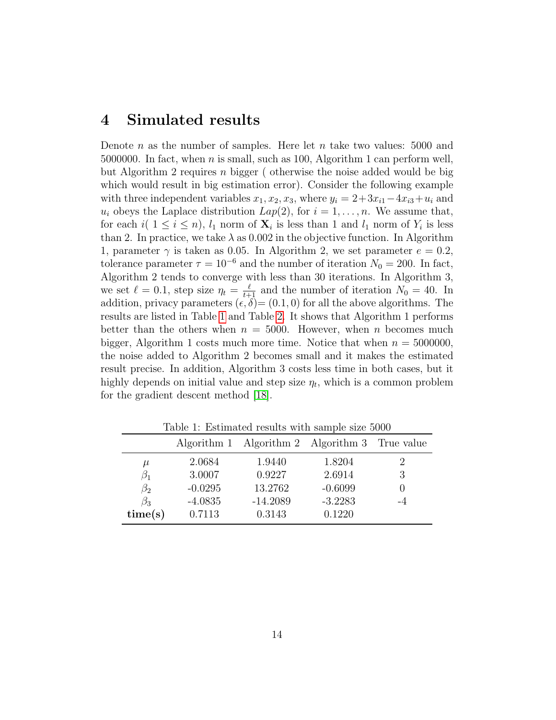## 4 Simulated results

Denote n as the number of samples. Here let n take two values: 5000 and 5000000. In fact, when *n* is small, such as 100, Algorithm 1 can perform well, but Algorithm 2 requires n bigger ( otherwise the noise added would be big which would result in big estimation error). Consider the following example with three independent variables  $x_1, x_2, x_3$ , where  $y_i = 2+3x_{i1}-4x_{i3}+u_i$  and  $u_i$  obeys the Laplace distribution  $Lap(2)$ , for  $i = 1, \ldots, n$ . We assume that, for each  $i(1 \leq i \leq n)$ ,  $l_1$  norm of  $\mathbf{X}_i$  is less than 1 and  $l_1$  norm of  $Y_i$  is less than 2. In practice, we take  $\lambda$  as 0.002 in the objective function. In Algorithm 1, parameter  $\gamma$  is taken as 0.05. In Algorithm 2, we set parameter  $e = 0.2$ , tolerance parameter  $\tau = 10^{-6}$  and the number of iteration  $N_0 = 200$ . In fact, Algorithm 2 tends to converge with less than 30 iterations. In Algorithm 3, we set  $\ell = 0.1$ , step size  $\eta_t = \frac{\ell}{t+1}$  and the number of iteration  $N_0 = 40$ . In addition, privacy parameters  $(\epsilon, \delta) = (0.1, 0)$  for all the above algorithms. The results are listed in Table [1](#page-13-0) and Table [2.](#page-14-7) It shows that Algorithm 1 performs better than the others when  $n = 5000$ . However, when n becomes much bigger, Algorithm 1 costs much more time. Notice that when  $n = 5000000$ , the noise added to Algorithm 2 becomes small and it makes the estimated result precise. In addition, Algorithm 3 costs less time in both cases, but it highly depends on initial value and step size  $\eta_t$ , which is a common problem for the gradient descent method [\[18\]](#page-15-10).

|           |           | Algorithm 1 Algorithm 2 Algorithm 3 True value |           |               |  |
|-----------|-----------|------------------------------------------------|-----------|---------------|--|
| $\mu$     | 2.0684    | 1.9440                                         | 1.8204    | $\mathcal{D}$ |  |
| σ1        | 3.0007    | 0.9227                                         | 2.6914    | 3             |  |
| $\beta_2$ | $-0.0295$ | 13.2762                                        | $-0.6099$ |               |  |
| $\beta_3$ | $-4.0835$ | $-14.2089$                                     | $-3.2283$ |               |  |
| time(s)   | 0.7113    | 0.3143                                         | 0.1220    |               |  |

<span id="page-13-0"></span>Table 1: Estimated results with sample size 5000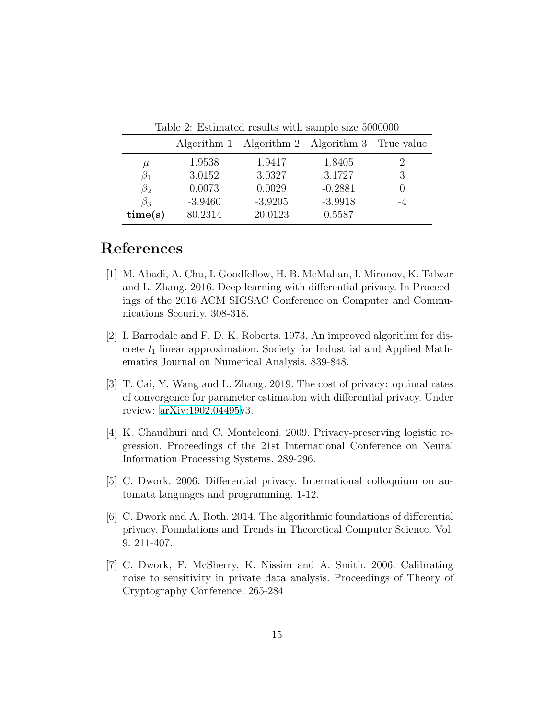| Table 2. Estimated results with sample size oppopul |             |                                    |           |  |  |
|-----------------------------------------------------|-------------|------------------------------------|-----------|--|--|
|                                                     | Algorithm 1 | Algorithm 2 Algorithm 3 True value |           |  |  |
| $\mu$                                               | 1.9538      | 1.9417                             | 1.8405    |  |  |
| $\beta_1$                                           | 3.0152      | 3.0327                             | 3.1727    |  |  |
| $\beta_2$                                           | 0.0073      | 0.0029                             | $-0.2881$ |  |  |
| $\beta_3$                                           | $-3.9460$   | $-3.9205$                          | $-3.9918$ |  |  |
| time(s)                                             | 80.2314     | 20.0123                            | 0.5587    |  |  |

<span id="page-14-7"></span>Table 2: Estimated results with sample size 5000000

# References

- <span id="page-14-1"></span>[1] M. Abadi, A. Chu, I. Goodfellow, H. B. McMahan, I. Mironov, K. Talwar and L. Zhang. 2016. Deep learning with differential privacy. In Proceedings of the 2016 ACM SIGSAC Conference on Computer and Communications Security. 308-318.
- <span id="page-14-5"></span>[2] I. Barrodale and F. D. K. Roberts. 1973. An improved algorithm for discrete  $l_1$  linear approximation. Society for Industrial and Applied Mathematics Journal on Numerical Analysis. 839-848.
- <span id="page-14-2"></span>[3] T. Cai, Y. Wang and L. Zhang. 2019. The cost of privacy: optimal rates of convergence for parameter estimation with differential privacy. Under review: [arXiv:1902.04495v](http://arxiv.org/abs/1902.04495)3.
- <span id="page-14-6"></span>[4] K. Chaudhuri and C. Monteleoni. 2009. Privacy-preserving logistic regression. Proceedings of the 21st International Conference on Neural Information Processing Systems. 289-296.
- <span id="page-14-3"></span>[5] C. Dwork. 2006. Differential privacy. International colloquium on automata languages and programming. 1-12.
- <span id="page-14-0"></span>[6] C. Dwork and A. Roth. 2014. The algorithmic foundations of differential privacy. Foundations and Trends in Theoretical Computer Science. Vol. 9. 211-407.
- <span id="page-14-4"></span>[7] C. Dwork, F. McSherry, K. Nissim and A. Smith. 2006. Calibrating noise to sensitivity in private data analysis. Proceedings of Theory of Cryptography Conference. 265-284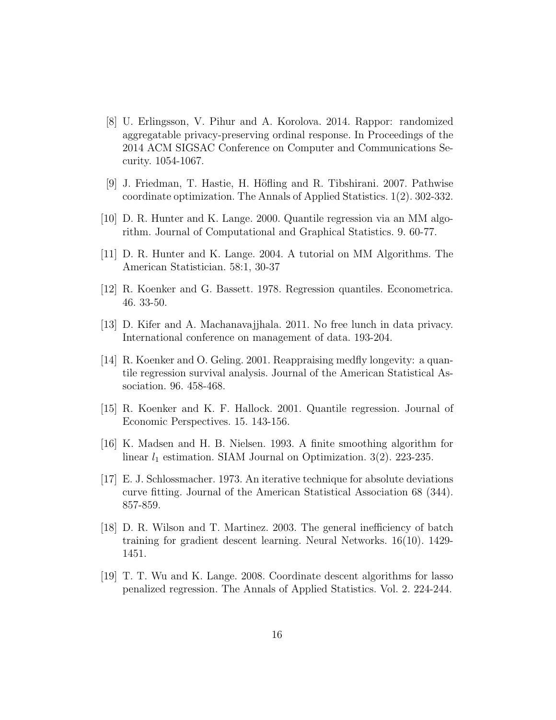- <span id="page-15-0"></span>[8] U. Erlingsson, V. Pihur and A. Korolova. 2014. Rappor: randomized aggregatable privacy-preserving ordinal response. In Proceedings of the 2014 ACM SIGSAC Conference on Computer and Communications Security. 1054-1067.
- <span id="page-15-9"></span>[9] J. Friedman, T. Hastie, H. H¨ofling and R. Tibshirani. 2007. Pathwise coordinate optimization. The Annals of Applied Statistics. 1(2). 302-332.
- <span id="page-15-6"></span>[10] D. R. Hunter and K. Lange. 2000. Quantile regression via an MM algorithm. Journal of Computational and Graphical Statistics. 9. 60-77.
- <span id="page-15-7"></span>[11] D. R. Hunter and K. Lange. 2004. A tutorial on MM Algorithms. The American Statistician. 58:1, 30-37
- <span id="page-15-1"></span>[12] R. Koenker and G. Bassett. 1978. Regression quantiles. Econometrica. 46. 33-50.
- [13] D. Kifer and A. Machanavajjhala. 2011. No free lunch in data privacy. International conference on management of data. 193-204.
- <span id="page-15-2"></span>[14] R. Koenker and O. Geling. 2001. Reappraising medfly longevity: a quantile regression survival analysis. Journal of the American Statistical Association. 96. 458-468.
- <span id="page-15-3"></span>[15] R. Koenker and K. F. Hallock. 2001. Quantile regression. Journal of Economic Perspectives. 15. 143-156.
- <span id="page-15-4"></span>[16] K. Madsen and H. B. Nielsen. 1993. A finite smoothing algorithm for linear  $l_1$  estimation. SIAM Journal on Optimization. 3(2). 223-235.
- <span id="page-15-5"></span>[17] E. J. Schlossmacher. 1973. An iterative technique for absolute deviations curve fitting. Journal of the American Statistical Association 68 (344). 857-859.
- <span id="page-15-10"></span>[18] D. R. Wilson and T. Martinez. 2003. The general inefficiency of batch training for gradient descent learning. Neural Networks. 16(10). 1429- 1451.
- <span id="page-15-8"></span>[19] T. T. Wu and K. Lange. 2008. Coordinate descent algorithms for lasso penalized regression. The Annals of Applied Statistics. Vol. 2. 224-244.